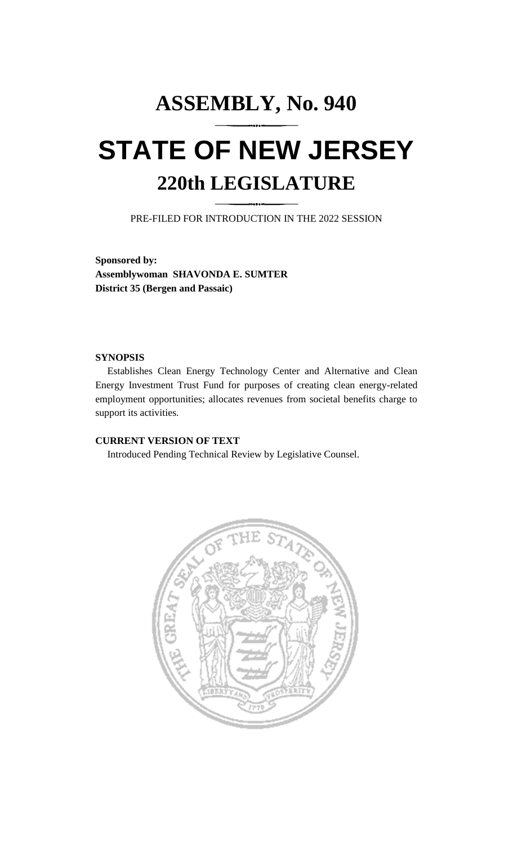# **ASSEMBLY, No. 940 STATE OF NEW JERSEY 220th LEGISLATURE**

PRE-FILED FOR INTRODUCTION IN THE 2022 SESSION

**Sponsored by: Assemblywoman SHAVONDA E. SUMTER District 35 (Bergen and Passaic)**

#### **SYNOPSIS**

Establishes Clean Energy Technology Center and Alternative and Clean Energy Investment Trust Fund for purposes of creating clean energy-related employment opportunities; allocates revenues from societal benefits charge to support its activities.

#### **CURRENT VERSION OF TEXT**

Introduced Pending Technical Review by Legislative Counsel.

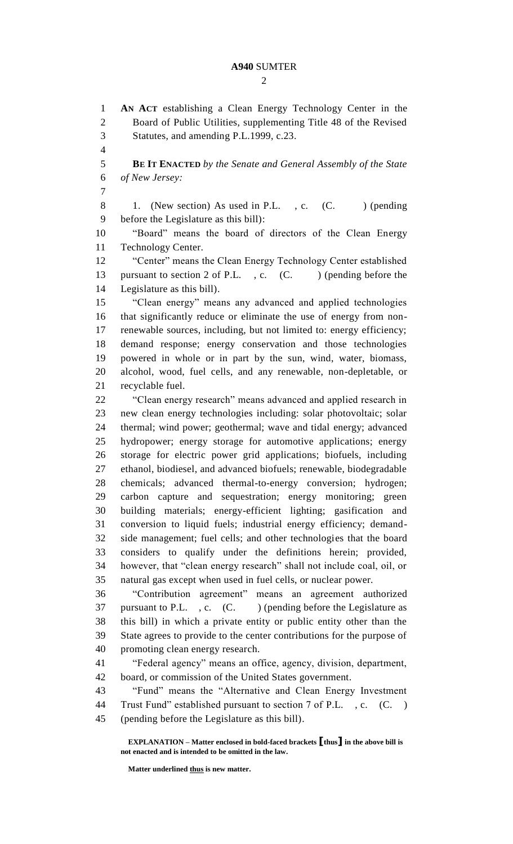$\mathcal{D}_{\mathcal{L}}$ 

 **AN ACT** establishing a Clean Energy Technology Center in the Board of Public Utilities, supplementing Title 48 of the Revised Statutes, and amending P.L.1999, c.23. **BE IT ENACTED** *by the Senate and General Assembly of the State of New Jersey:* 8 1. (New section) As used in P.L., c. (C. ) (pending before the Legislature as this bill): "Board" means the board of directors of the Clean Energy Technology Center. "Center" means the Clean Energy Technology Center established 13 pursuant to section 2 of P.L., c. (C. ) (pending before the Legislature as this bill). "Clean energy" means any advanced and applied technologies that significantly reduce or eliminate the use of energy from non- renewable sources, including, but not limited to: energy efficiency; demand response; energy conservation and those technologies powered in whole or in part by the sun, wind, water, biomass, alcohol, wood, fuel cells, and any renewable, non-depletable, or recyclable fuel. "Clean energy research" means advanced and applied research in new clean energy technologies including: solar photovoltaic; solar thermal; wind power; geothermal; wave and tidal energy; advanced hydropower; energy storage for automotive applications; energy storage for electric power grid applications; biofuels, including ethanol, biodiesel, and advanced biofuels; renewable, biodegradable chemicals; advanced thermal-to-energy conversion; hydrogen; carbon capture and sequestration; energy monitoring; green building materials; energy-efficient lighting; gasification and conversion to liquid fuels; industrial energy efficiency; demand- side management; fuel cells; and other technologies that the board considers to qualify under the definitions herein; provided, however, that "clean energy research" shall not include coal, oil, or natural gas except when used in fuel cells, or nuclear power. "Contribution agreement" means an agreement authorized 37 pursuant to P.L., c. (C.) (pending before the Legislature as this bill) in which a private entity or public entity other than the State agrees to provide to the center contributions for the purpose of promoting clean energy research. "Federal agency" means an office, agency, division, department, board, or commission of the United States government. "Fund" means the "Alternative and Clean Energy Investment 44 Trust Fund" established pursuant to section 7 of P.L., c. (C.) (pending before the Legislature as this bill).

**EXPLANATION – Matter enclosed in bold-faced brackets [thus] in the above bill is not enacted and is intended to be omitted in the law.**

**Matter underlined thus is new matter.**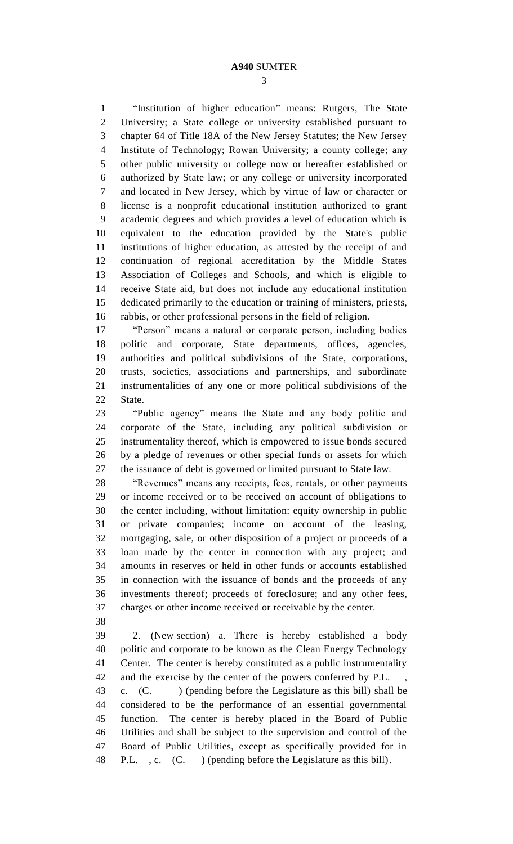"Institution of higher education" means: Rutgers, The State University; a State college or university established pursuant to chapter 64 of Title 18A of the New Jersey Statutes; the New Jersey Institute of Technology; Rowan University; a county college; any other public university or college now or hereafter established or authorized by State law; or any college or university incorporated and located in New Jersey, which by virtue of law or character or license is a nonprofit educational institution authorized to grant academic degrees and which provides a level of education which is equivalent to the education provided by the State's public institutions of higher education, as attested by the receipt of and continuation of regional accreditation by the Middle States Association of Colleges and Schools, and which is eligible to receive State aid, but does not include any educational institution dedicated primarily to the education or training of ministers, priests, rabbis, or other professional persons in the field of religion.

 "Person" means a natural or corporate person, including bodies politic and corporate, State departments, offices, agencies, authorities and political subdivisions of the State, corporations, trusts, societies, associations and partnerships, and subordinate instrumentalities of any one or more political subdivisions of the State.

 "Public agency" means the State and any body politic and corporate of the State, including any political subdivision or instrumentality thereof, which is empowered to issue bonds secured by a pledge of revenues or other special funds or assets for which the issuance of debt is governed or limited pursuant to State law.

 "Revenues" means any receipts, fees, rentals, or other payments or income received or to be received on account of obligations to the center including, without limitation: equity ownership in public or private companies; income on account of the leasing, mortgaging, sale, or other disposition of a project or proceeds of a loan made by the center in connection with any project; and amounts in reserves or held in other funds or accounts established in connection with the issuance of bonds and the proceeds of any investments thereof; proceeds of foreclosure; and any other fees, charges or other income received or receivable by the center.

 2. (New section) a. There is hereby established a body politic and corporate to be known as the Clean Energy Technology Center. The center is hereby constituted as a public instrumentality 42 and the exercise by the center of the powers conferred by P.L. c. (C. ) (pending before the Legislature as this bill) shall be considered to be the performance of an essential governmental function. The center is hereby placed in the Board of Public Utilities and shall be subject to the supervision and control of the Board of Public Utilities, except as specifically provided for in P.L. , c. (C. ) (pending before the Legislature as this bill).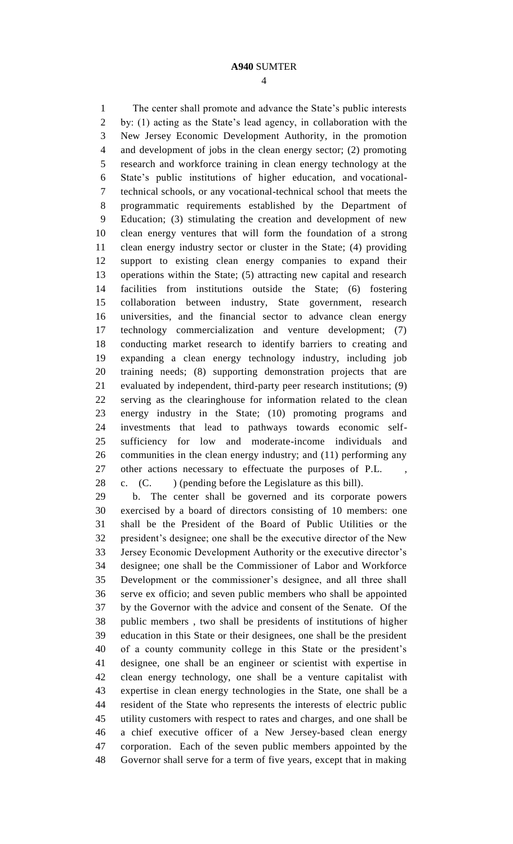The center shall promote and advance the State's public interests by: (1) acting as the State's lead agency, in collaboration with the New Jersey Economic Development Authority, in the promotion and development of jobs in the clean energy sector; (2) promoting research and workforce training in clean energy technology at the State's public institutions of higher education, and vocational- technical schools, or any vocational-technical school that meets the programmatic requirements established by the Department of Education; (3) stimulating the creation and development of new clean energy ventures that will form the foundation of a strong clean energy industry sector or cluster in the State; (4) providing support to existing clean energy companies to expand their operations within the State; (5) attracting new capital and research facilities from institutions outside the State; (6) fostering collaboration between industry, State government, research universities, and the financial sector to advance clean energy technology commercialization and venture development; (7) conducting market research to identify barriers to creating and expanding a clean energy technology industry, including job training needs; (8) supporting demonstration projects that are evaluated by independent, third-party peer research institutions; (9) serving as the clearinghouse for information related to the clean energy industry in the State; (10) promoting programs and investments that lead to pathways towards economic self- sufficiency for low and moderate-income individuals and communities in the clean energy industry; and (11) performing any 27 other actions necessary to effectuate the purposes of P.L. c. (C. ) (pending before the Legislature as this bill).

 b. The center shall be governed and its corporate powers exercised by a board of directors consisting of 10 members: one shall be the President of the Board of Public Utilities or the president's designee; one shall be the executive director of the New Jersey Economic Development Authority or the executive director's designee; one shall be the Commissioner of Labor and Workforce Development or the commissioner's designee, and all three shall serve ex officio; and seven public members who shall be appointed by the Governor with the advice and consent of the Senate. Of the public members , two shall be presidents of institutions of higher education in this State or their designees, one shall be the president of a county community college in this State or the president's designee, one shall be an engineer or scientist with expertise in clean energy technology, one shall be a venture capitalist with expertise in clean energy technologies in the State, one shall be a resident of the State who represents the interests of electric public utility customers with respect to rates and charges, and one shall be a chief executive officer of a New Jersey-based clean energy corporation. Each of the seven public members appointed by the Governor shall serve for a term of five years, except that in making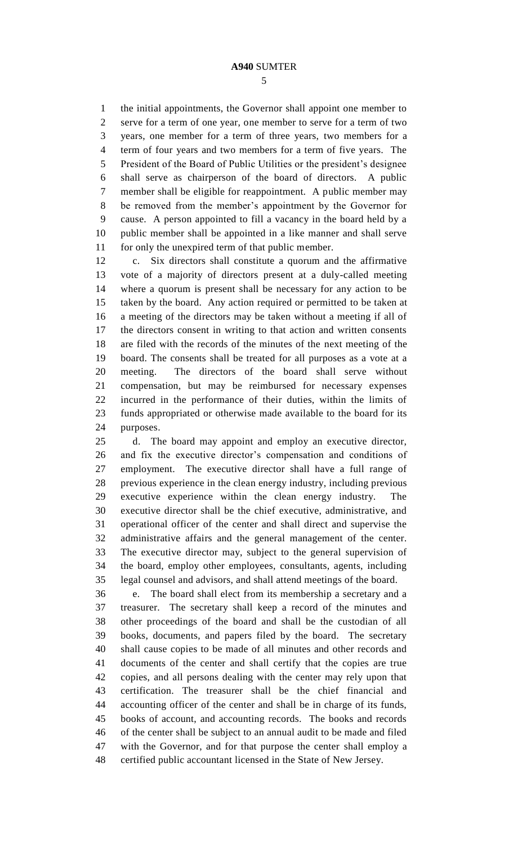the initial appointments, the Governor shall appoint one member to serve for a term of one year, one member to serve for a term of two years, one member for a term of three years, two members for a term of four years and two members for a term of five years. The President of the Board of Public Utilities or the president's designee shall serve as chairperson of the board of directors. A public member shall be eligible for reappointment. A public member may be removed from the member's appointment by the Governor for cause. A person appointed to fill a vacancy in the board held by a public member shall be appointed in a like manner and shall serve for only the unexpired term of that public member.

 c. Six directors shall constitute a quorum and the affirmative vote of a majority of directors present at a duly-called meeting where a quorum is present shall be necessary for any action to be taken by the board. Any action required or permitted to be taken at a meeting of the directors may be taken without a meeting if all of the directors consent in writing to that action and written consents are filed with the records of the minutes of the next meeting of the board. The consents shall be treated for all purposes as a vote at a meeting. The directors of the board shall serve without compensation, but may be reimbursed for necessary expenses incurred in the performance of their duties, within the limits of funds appropriated or otherwise made available to the board for its purposes.

 d. The board may appoint and employ an executive director, and fix the executive director's compensation and conditions of employment. The executive director shall have a full range of previous experience in the clean energy industry, including previous executive experience within the clean energy industry. The executive director shall be the chief executive, administrative, and operational officer of the center and shall direct and supervise the administrative affairs and the general management of the center. The executive director may, subject to the general supervision of the board, employ other employees, consultants, agents, including legal counsel and advisors, and shall attend meetings of the board.

 e. The board shall elect from its membership a secretary and a treasurer. The secretary shall keep a record of the minutes and other proceedings of the board and shall be the custodian of all books, documents, and papers filed by the board. The secretary shall cause copies to be made of all minutes and other records and documents of the center and shall certify that the copies are true copies, and all persons dealing with the center may rely upon that certification. The treasurer shall be the chief financial and accounting officer of the center and shall be in charge of its funds, books of account, and accounting records. The books and records of the center shall be subject to an annual audit to be made and filed with the Governor, and for that purpose the center shall employ a certified public accountant licensed in the State of New Jersey.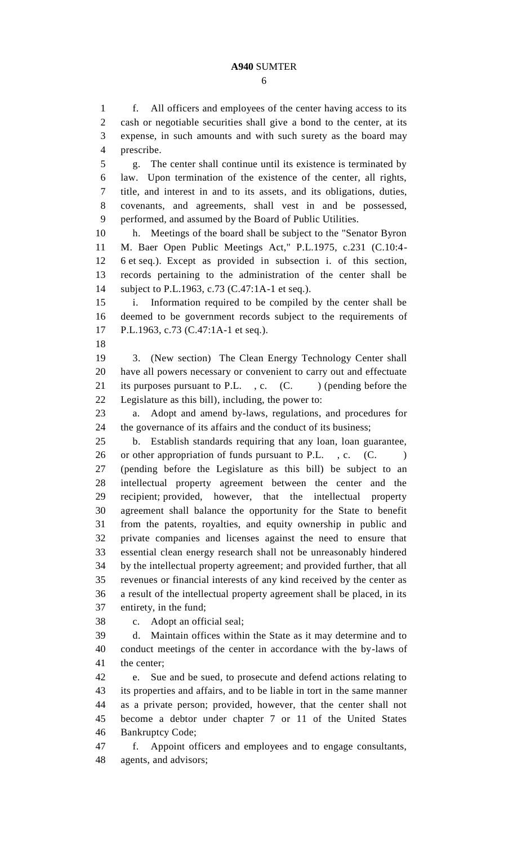f. All officers and employees of the center having access to its cash or negotiable securities shall give a bond to the center, at its expense, in such amounts and with such surety as the board may prescribe. g. The center shall continue until its existence is terminated by law. Upon termination of the existence of the center, all rights, title, and interest in and to its assets, and its obligations, duties, covenants, and agreements, shall vest in and be possessed, performed, and assumed by the Board of Public Utilities. h. Meetings of the board shall be subject to the "Senator Byron M. Baer Open Public Meetings Act," P.L.1975, c.231 (C.10:4- 6 et seq.). Except as provided in subsection i. of this section, records pertaining to the administration of the center shall be subject to P.L.1963, c.73 (C.47:1A-1 et seq.). i. Information required to be compiled by the center shall be deemed to be government records subject to the requirements of P.L.1963, c.73 (C.47:1A-1 et seq.). 3. (New section) The Clean Energy Technology Center shall have all powers necessary or convenient to carry out and effectuate 21 its purposes pursuant to P.L., c. (C. ) (pending before the Legislature as this bill), including, the power to: a. Adopt and amend by-laws, regulations, and procedures for the governance of its affairs and the conduct of its business; b. Establish standards requiring that any loan, loan guarantee, 26 or other appropriation of funds pursuant to P.L., c. (C.) (pending before the Legislature as this bill) be subject to an intellectual property agreement between the center and the recipient; provided, however, that the intellectual property agreement shall balance the opportunity for the State to benefit from the patents, royalties, and equity ownership in public and private companies and licenses against the need to ensure that essential clean energy research shall not be unreasonably hindered by the intellectual property agreement; and provided further, that all revenues or financial interests of any kind received by the center as a result of the intellectual property agreement shall be placed, in its entirety, in the fund; c. Adopt an official seal; d. Maintain offices within the State as it may determine and to conduct meetings of the center in accordance with the by-laws of the center; e. Sue and be sued, to prosecute and defend actions relating to its properties and affairs, and to be liable in tort in the same manner as a private person; provided, however, that the center shall not become a debtor under chapter 7 or 11 of the United States Bankruptcy Code; f. Appoint officers and employees and to engage consultants, agents, and advisors;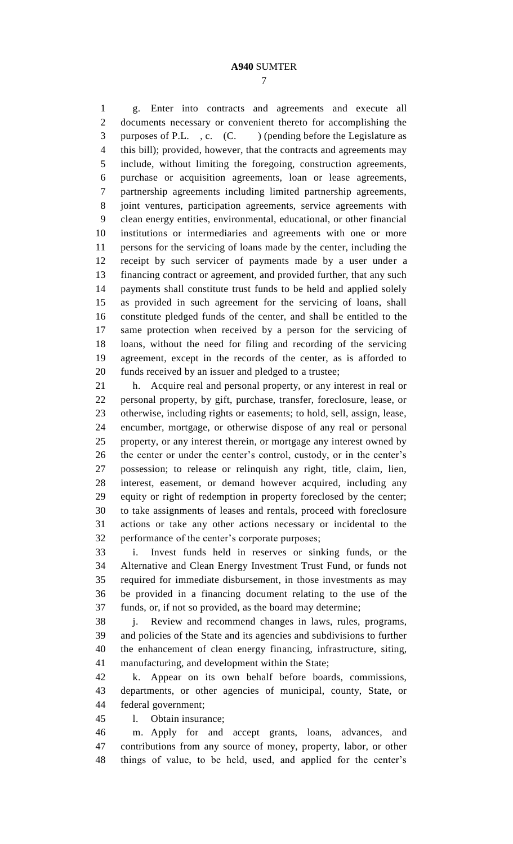g. Enter into contracts and agreements and execute all documents necessary or convenient thereto for accomplishing the 3 purposes of P.L., c. (C.) (pending before the Legislature as this bill); provided, however, that the contracts and agreements may include, without limiting the foregoing, construction agreements, purchase or acquisition agreements, loan or lease agreements, partnership agreements including limited partnership agreements, joint ventures, participation agreements, service agreements with clean energy entities, environmental, educational, or other financial institutions or intermediaries and agreements with one or more persons for the servicing of loans made by the center, including the receipt by such servicer of payments made by a user under a financing contract or agreement, and provided further, that any such payments shall constitute trust funds to be held and applied solely as provided in such agreement for the servicing of loans, shall constitute pledged funds of the center, and shall be entitled to the same protection when received by a person for the servicing of loans, without the need for filing and recording of the servicing agreement, except in the records of the center, as is afforded to funds received by an issuer and pledged to a trustee;

 h. Acquire real and personal property, or any interest in real or personal property, by gift, purchase, transfer, foreclosure, lease, or otherwise, including rights or easements; to hold, sell, assign, lease, encumber, mortgage, or otherwise dispose of any real or personal property, or any interest therein, or mortgage any interest owned by the center or under the center's control, custody, or in the center's possession; to release or relinquish any right, title, claim, lien, interest, easement, or demand however acquired, including any equity or right of redemption in property foreclosed by the center; to take assignments of leases and rentals, proceed with foreclosure actions or take any other actions necessary or incidental to the performance of the center's corporate purposes;

 i. Invest funds held in reserves or sinking funds, or the Alternative and Clean Energy Investment Trust Fund, or funds not required for immediate disbursement, in those investments as may be provided in a financing document relating to the use of the funds, or, if not so provided, as the board may determine;

 j. Review and recommend changes in laws, rules, programs, and policies of the State and its agencies and subdivisions to further the enhancement of clean energy financing, infrastructure, siting, manufacturing, and development within the State;

 k. Appear on its own behalf before boards, commissions, departments, or other agencies of municipal, county, State, or federal government;

l. Obtain insurance;

 m. Apply for and accept grants, loans, advances, and contributions from any source of money, property, labor, or other things of value, to be held, used, and applied for the center's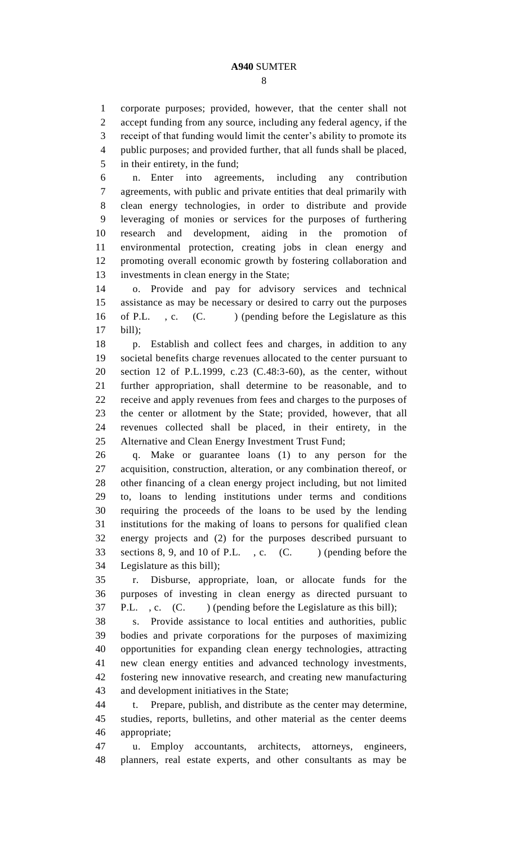corporate purposes; provided, however, that the center shall not accept funding from any source, including any federal agency, if the receipt of that funding would limit the center's ability to promote its public purposes; and provided further, that all funds shall be placed, in their entirety, in the fund;

 n. Enter into agreements, including any contribution agreements, with public and private entities that deal primarily with clean energy technologies, in order to distribute and provide leveraging of monies or services for the purposes of furthering research and development, aiding in the promotion of environmental protection, creating jobs in clean energy and promoting overall economic growth by fostering collaboration and investments in clean energy in the State;

 o. Provide and pay for advisory services and technical assistance as may be necessary or desired to carry out the purposes 16 of P.L., c. (C.) (pending before the Legislature as this bill);

 p. Establish and collect fees and charges, in addition to any societal benefits charge revenues allocated to the center pursuant to section 12 of P.L.1999, c.23 (C.48:3-60), as the center, without further appropriation, shall determine to be reasonable, and to receive and apply revenues from fees and charges to the purposes of the center or allotment by the State; provided, however, that all revenues collected shall be placed, in their entirety, in the Alternative and Clean Energy Investment Trust Fund;

 q. Make or guarantee loans (1) to any person for the acquisition, construction, alteration, or any combination thereof, or other financing of a clean energy project including, but not limited to, loans to lending institutions under terms and conditions requiring the proceeds of the loans to be used by the lending institutions for the making of loans to persons for qualified clean energy projects and (2) for the purposes described pursuant to 33 sections 8, 9, and 10 of P.L., c. (C. ) (pending before the Legislature as this bill);

 r. Disburse, appropriate, loan, or allocate funds for the purposes of investing in clean energy as directed pursuant to 37 P.L., c. (C. ) (pending before the Legislature as this bill);

 s. Provide assistance to local entities and authorities, public bodies and private corporations for the purposes of maximizing opportunities for expanding clean energy technologies, attracting new clean energy entities and advanced technology investments, fostering new innovative research, and creating new manufacturing and development initiatives in the State;

 t. Prepare, publish, and distribute as the center may determine, studies, reports, bulletins, and other material as the center deems appropriate;

 u. Employ accountants, architects, attorneys, engineers, planners, real estate experts, and other consultants as may be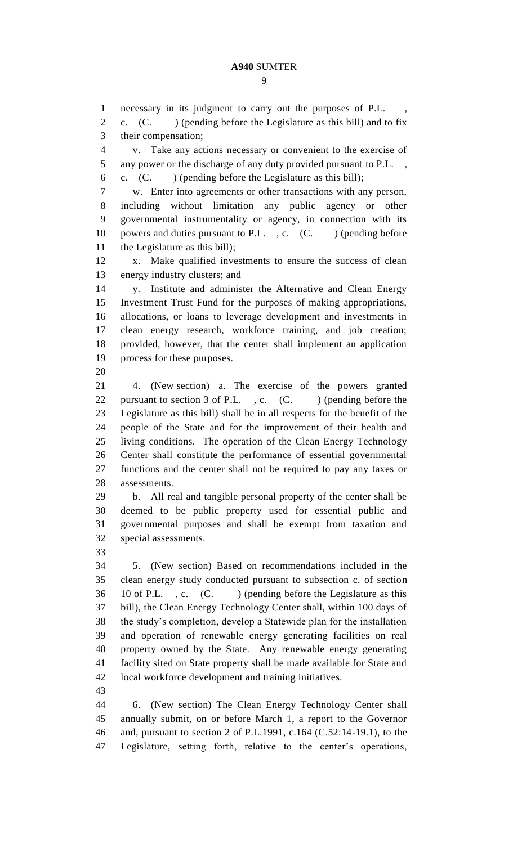necessary in its judgment to carry out the purposes of P.L. , c. (C. ) (pending before the Legislature as this bill) and to fix their compensation; v. Take any actions necessary or convenient to the exercise of 5 any power or the discharge of any duty provided pursuant to P.L., c. (C. ) (pending before the Legislature as this bill); w. Enter into agreements or other transactions with any person, including without limitation any public agency or other governmental instrumentality or agency, in connection with its 10 powers and duties pursuant to P.L., c. (C.) (pending before the Legislature as this bill); x. Make qualified investments to ensure the success of clean energy industry clusters; and y. Institute and administer the Alternative and Clean Energy Investment Trust Fund for the purposes of making appropriations, allocations, or loans to leverage development and investments in clean energy research, workforce training, and job creation; provided, however, that the center shall implement an application process for these purposes. 4. (New section) a. The exercise of the powers granted 22 pursuant to section 3 of P.L., c. (C. ) (pending before the Legislature as this bill) shall be in all respects for the benefit of the people of the State and for the improvement of their health and living conditions. The operation of the Clean Energy Technology Center shall constitute the performance of essential governmental functions and the center shall not be required to pay any taxes or assessments. b. All real and tangible personal property of the center shall be deemed to be public property used for essential public and governmental purposes and shall be exempt from taxation and special assessments. 5. (New section) Based on recommendations included in the clean energy study conducted pursuant to subsection c. of section 36 10 of P.L., c. (C.) (pending before the Legislature as this bill), the Clean Energy Technology Center shall, within 100 days of the study's completion, develop a Statewide plan for the installation and operation of renewable energy generating facilities on real property owned by the State. Any renewable energy generating facility sited on State property shall be made available for State and local workforce development and training initiatives. 6. (New section) The Clean Energy Technology Center shall annually submit, on or before March 1, a report to the Governor and, pursuant to section 2 of P.L.1991, c.164 (C.52:14-19.1), to the

Legislature, setting forth, relative to the center's operations,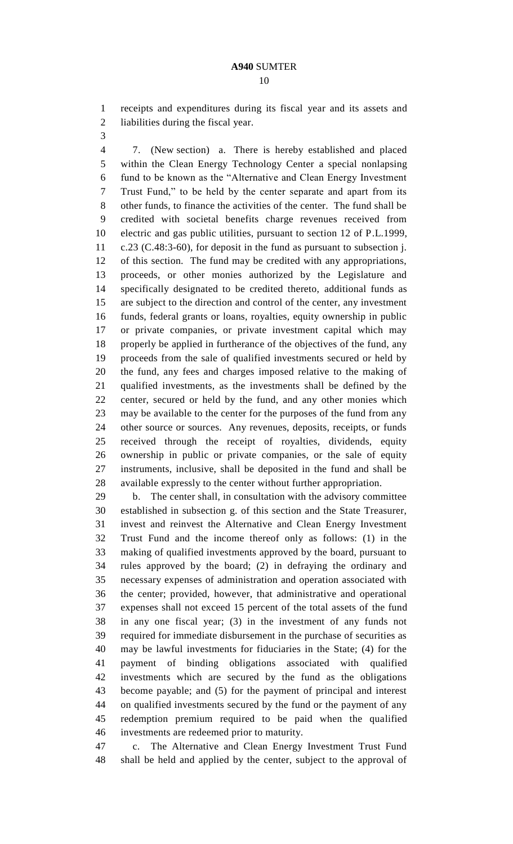receipts and expenditures during its fiscal year and its assets and liabilities during the fiscal year.

 7. (New section) a. There is hereby established and placed within the Clean Energy Technology Center a special nonlapsing fund to be known as the "Alternative and Clean Energy Investment Trust Fund," to be held by the center separate and apart from its other funds, to finance the activities of the center. The fund shall be credited with societal benefits charge revenues received from electric and gas public utilities, pursuant to section 12 of P.L.1999, c.23 (C.48:3-60), for deposit in the fund as pursuant to subsection j. of this section. The fund may be credited with any appropriations, proceeds, or other monies authorized by the Legislature and specifically designated to be credited thereto, additional funds as are subject to the direction and control of the center, any investment funds, federal grants or loans, royalties, equity ownership in public or private companies, or private investment capital which may properly be applied in furtherance of the objectives of the fund, any proceeds from the sale of qualified investments secured or held by the fund, any fees and charges imposed relative to the making of qualified investments, as the investments shall be defined by the center, secured or held by the fund, and any other monies which may be available to the center for the purposes of the fund from any other source or sources. Any revenues, deposits, receipts, or funds received through the receipt of royalties, dividends, equity ownership in public or private companies, or the sale of equity instruments, inclusive, shall be deposited in the fund and shall be available expressly to the center without further appropriation.

 b. The center shall, in consultation with the advisory committee established in subsection g. of this section and the State Treasurer, invest and reinvest the Alternative and Clean Energy Investment Trust Fund and the income thereof only as follows: (1) in the making of qualified investments approved by the board, pursuant to rules approved by the board; (2) in defraying the ordinary and necessary expenses of administration and operation associated with the center; provided, however, that administrative and operational expenses shall not exceed 15 percent of the total assets of the fund in any one fiscal year; (3) in the investment of any funds not required for immediate disbursement in the purchase of securities as may be lawful investments for fiduciaries in the State; (4) for the payment of binding obligations associated with qualified investments which are secured by the fund as the obligations become payable; and (5) for the payment of principal and interest on qualified investments secured by the fund or the payment of any redemption premium required to be paid when the qualified investments are redeemed prior to maturity.

 c. The Alternative and Clean Energy Investment Trust Fund shall be held and applied by the center, subject to the approval of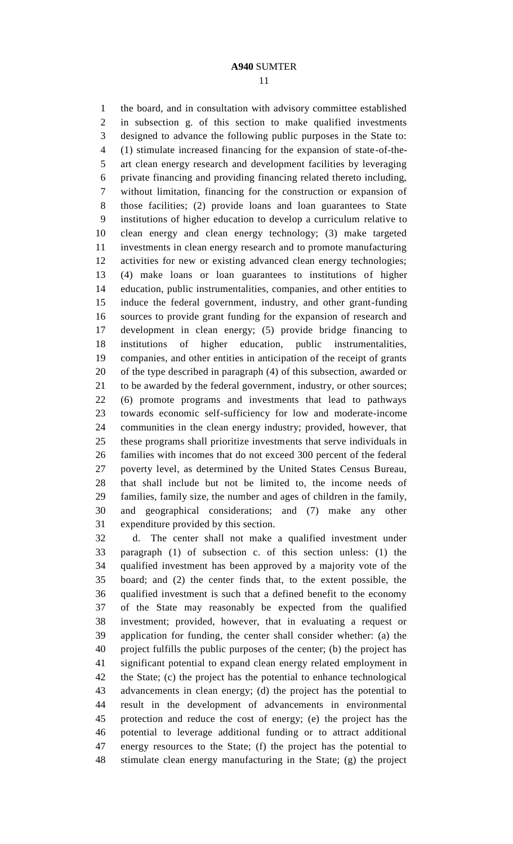the board, and in consultation with advisory committee established in subsection g. of this section to make qualified investments designed to advance the following public purposes in the State to: (1) stimulate increased financing for the expansion of state-of-the- art clean energy research and development facilities by leveraging private financing and providing financing related thereto including, without limitation, financing for the construction or expansion of those facilities; (2) provide loans and loan guarantees to State institutions of higher education to develop a curriculum relative to clean energy and clean energy technology; (3) make targeted investments in clean energy research and to promote manufacturing activities for new or existing advanced clean energy technologies; (4) make loans or loan guarantees to institutions of higher education, public instrumentalities, companies, and other entities to induce the federal government, industry, and other grant-funding sources to provide grant funding for the expansion of research and development in clean energy; (5) provide bridge financing to institutions of higher education, public instrumentalities, companies, and other entities in anticipation of the receipt of grants of the type described in paragraph (4) of this subsection, awarded or to be awarded by the federal government, industry, or other sources; (6) promote programs and investments that lead to pathways towards economic self-sufficiency for low and moderate-income communities in the clean energy industry; provided, however, that these programs shall prioritize investments that serve individuals in families with incomes that do not exceed 300 percent of the federal poverty level, as determined by the United States Census Bureau, that shall include but not be limited to, the income needs of families, family size, the number and ages of children in the family, and geographical considerations; and (7) make any other expenditure provided by this section.

 d. The center shall not make a qualified investment under paragraph (1) of subsection c. of this section unless: (1) the qualified investment has been approved by a majority vote of the board; and (2) the center finds that, to the extent possible, the qualified investment is such that a defined benefit to the economy of the State may reasonably be expected from the qualified investment; provided, however, that in evaluating a request or application for funding, the center shall consider whether: (a) the project fulfills the public purposes of the center; (b) the project has significant potential to expand clean energy related employment in the State; (c) the project has the potential to enhance technological advancements in clean energy; (d) the project has the potential to result in the development of advancements in environmental protection and reduce the cost of energy; (e) the project has the potential to leverage additional funding or to attract additional energy resources to the State; (f) the project has the potential to stimulate clean energy manufacturing in the State; (g) the project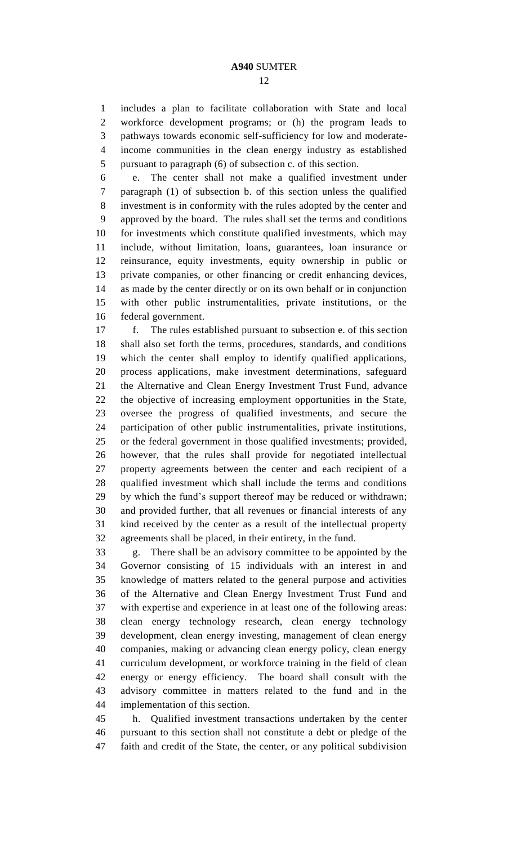includes a plan to facilitate collaboration with State and local workforce development programs; or (h) the program leads to pathways towards economic self-sufficiency for low and moderate- income communities in the clean energy industry as established pursuant to paragraph (6) of subsection c. of this section.

 e. The center shall not make a qualified investment under paragraph (1) of subsection b. of this section unless the qualified investment is in conformity with the rules adopted by the center and approved by the board. The rules shall set the terms and conditions for investments which constitute qualified investments, which may include, without limitation, loans, guarantees, loan insurance or reinsurance, equity investments, equity ownership in public or private companies, or other financing or credit enhancing devices, as made by the center directly or on its own behalf or in conjunction with other public instrumentalities, private institutions, or the federal government.

 f. The rules established pursuant to subsection e. of this section shall also set forth the terms, procedures, standards, and conditions which the center shall employ to identify qualified applications, process applications, make investment determinations, safeguard the Alternative and Clean Energy Investment Trust Fund, advance the objective of increasing employment opportunities in the State, oversee the progress of qualified investments, and secure the participation of other public instrumentalities, private institutions, or the federal government in those qualified investments; provided, however, that the rules shall provide for negotiated intellectual property agreements between the center and each recipient of a qualified investment which shall include the terms and conditions by which the fund's support thereof may be reduced or withdrawn; and provided further, that all revenues or financial interests of any kind received by the center as a result of the intellectual property agreements shall be placed, in their entirety, in the fund.

 g. There shall be an advisory committee to be appointed by the Governor consisting of 15 individuals with an interest in and knowledge of matters related to the general purpose and activities of the Alternative and Clean Energy Investment Trust Fund and with expertise and experience in at least one of the following areas: clean energy technology research, clean energy technology development, clean energy investing, management of clean energy companies, making or advancing clean energy policy, clean energy curriculum development, or workforce training in the field of clean energy or energy efficiency. The board shall consult with the advisory committee in matters related to the fund and in the implementation of this section.

 h. Qualified investment transactions undertaken by the center pursuant to this section shall not constitute a debt or pledge of the faith and credit of the State, the center, or any political subdivision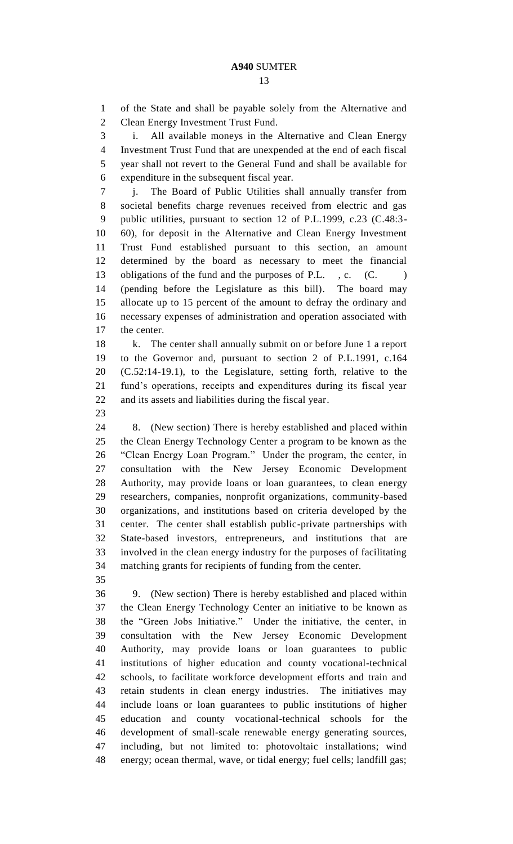of the State and shall be payable solely from the Alternative and Clean Energy Investment Trust Fund.

 i. All available moneys in the Alternative and Clean Energy Investment Trust Fund that are unexpended at the end of each fiscal year shall not revert to the General Fund and shall be available for expenditure in the subsequent fiscal year.

 j. The Board of Public Utilities shall annually transfer from societal benefits charge revenues received from electric and gas public utilities, pursuant to section 12 of P.L.1999, c.23 (C.48:3- 60), for deposit in the Alternative and Clean Energy Investment Trust Fund established pursuant to this section, an amount determined by the board as necessary to meet the financial 13 obligations of the fund and the purposes of P.L., c. (C.) (pending before the Legislature as this bill). The board may allocate up to 15 percent of the amount to defray the ordinary and necessary expenses of administration and operation associated with the center.

 k. The center shall annually submit on or before June 1 a report to the Governor and, pursuant to section 2 of P.L.1991, c.164 (C.52:14-19.1), to the Legislature, setting forth, relative to the fund's operations, receipts and expenditures during its fiscal year and its assets and liabilities during the fiscal year.

 8. (New section) There is hereby established and placed within the Clean Energy Technology Center a program to be known as the "Clean Energy Loan Program." Under the program, the center, in consultation with the New Jersey Economic Development Authority, may provide loans or loan guarantees, to clean energy researchers, companies, nonprofit organizations, community-based organizations, and institutions based on criteria developed by the center. The center shall establish public-private partnerships with State-based investors, entrepreneurs, and institutions that are involved in the clean energy industry for the purposes of facilitating matching grants for recipients of funding from the center.

 9. (New section) There is hereby established and placed within the Clean Energy Technology Center an initiative to be known as the "Green Jobs Initiative." Under the initiative, the center, in consultation with the New Jersey Economic Development Authority, may provide loans or loan guarantees to public institutions of higher education and county vocational-technical schools, to facilitate workforce development efforts and train and retain students in clean energy industries. The initiatives may include loans or loan guarantees to public institutions of higher education and county vocational-technical schools for the development of small-scale renewable energy generating sources, including, but not limited to: photovoltaic installations; wind energy; ocean thermal, wave, or tidal energy; fuel cells; landfill gas;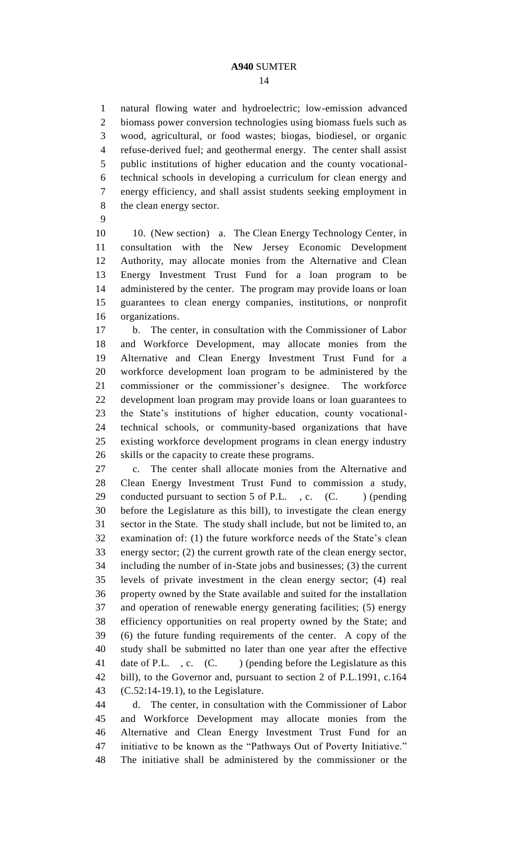natural flowing water and hydroelectric; low-emission advanced biomass power conversion technologies using biomass fuels such as wood, agricultural, or food wastes; biogas, biodiesel, or organic refuse-derived fuel; and geothermal energy. The center shall assist public institutions of higher education and the county vocational- technical schools in developing a curriculum for clean energy and energy efficiency, and shall assist students seeking employment in the clean energy sector.

10 10. (New section) a. The Clean Energy Technology Center, in consultation with the New Jersey Economic Development Authority, may allocate monies from the Alternative and Clean Energy Investment Trust Fund for a loan program to be administered by the center. The program may provide loans or loan guarantees to clean energy companies, institutions, or nonprofit organizations.

 b. The center, in consultation with the Commissioner of Labor and Workforce Development, may allocate monies from the Alternative and Clean Energy Investment Trust Fund for a workforce development loan program to be administered by the commissioner or the commissioner's designee. The workforce development loan program may provide loans or loan guarantees to the State's institutions of higher education, county vocational- technical schools, or community-based organizations that have existing workforce development programs in clean energy industry skills or the capacity to create these programs.

 c. The center shall allocate monies from the Alternative and Clean Energy Investment Trust Fund to commission a study, 29 conducted pursuant to section 5 of P.L., c.  $(C.$  ) (pending before the Legislature as this bill), to investigate the clean energy sector in the State. The study shall include, but not be limited to, an examination of: (1) the future workforce needs of the State's clean energy sector; (2) the current growth rate of the clean energy sector, including the number of in-State jobs and businesses; (3) the current levels of private investment in the clean energy sector; (4) real property owned by the State available and suited for the installation and operation of renewable energy generating facilities; (5) energy efficiency opportunities on real property owned by the State; and (6) the future funding requirements of the center. A copy of the study shall be submitted no later than one year after the effective 41 date of P.L., c. (C.) (pending before the Legislature as this bill), to the Governor and, pursuant to section 2 of P.L.1991, c.164 (C.52:14-19.1), to the Legislature.

 d. The center, in consultation with the Commissioner of Labor and Workforce Development may allocate monies from the Alternative and Clean Energy Investment Trust Fund for an initiative to be known as the "Pathways Out of Poverty Initiative." The initiative shall be administered by the commissioner or the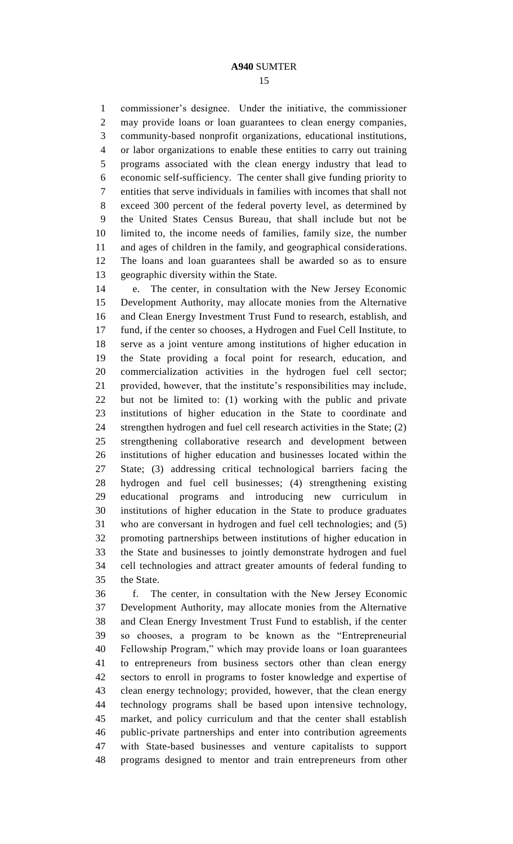commissioner's designee. Under the initiative, the commissioner may provide loans or loan guarantees to clean energy companies, community-based nonprofit organizations, educational institutions, or labor organizations to enable these entities to carry out training programs associated with the clean energy industry that lead to economic self-sufficiency. The center shall give funding priority to entities that serve individuals in families with incomes that shall not exceed 300 percent of the federal poverty level, as determined by the United States Census Bureau, that shall include but not be limited to, the income needs of families, family size, the number and ages of children in the family, and geographical considerations. The loans and loan guarantees shall be awarded so as to ensure geographic diversity within the State.

 e. The center, in consultation with the New Jersey Economic Development Authority, may allocate monies from the Alternative and Clean Energy Investment Trust Fund to research, establish, and fund, if the center so chooses, a Hydrogen and Fuel Cell Institute, to serve as a joint venture among institutions of higher education in the State providing a focal point for research, education, and commercialization activities in the hydrogen fuel cell sector; provided, however, that the institute's responsibilities may include, but not be limited to: (1) working with the public and private institutions of higher education in the State to coordinate and strengthen hydrogen and fuel cell research activities in the State; (2) strengthening collaborative research and development between institutions of higher education and businesses located within the State; (3) addressing critical technological barriers facing the hydrogen and fuel cell businesses; (4) strengthening existing educational programs and introducing new curriculum in institutions of higher education in the State to produce graduates who are conversant in hydrogen and fuel cell technologies; and (5) promoting partnerships between institutions of higher education in the State and businesses to jointly demonstrate hydrogen and fuel cell technologies and attract greater amounts of federal funding to the State.

 f. The center, in consultation with the New Jersey Economic Development Authority, may allocate monies from the Alternative and Clean Energy Investment Trust Fund to establish, if the center so chooses, a program to be known as the "Entrepreneurial Fellowship Program," which may provide loans or loan guarantees to entrepreneurs from business sectors other than clean energy sectors to enroll in programs to foster knowledge and expertise of clean energy technology; provided, however, that the clean energy technology programs shall be based upon intensive technology, market, and policy curriculum and that the center shall establish public-private partnerships and enter into contribution agreements with State-based businesses and venture capitalists to support programs designed to mentor and train entrepreneurs from other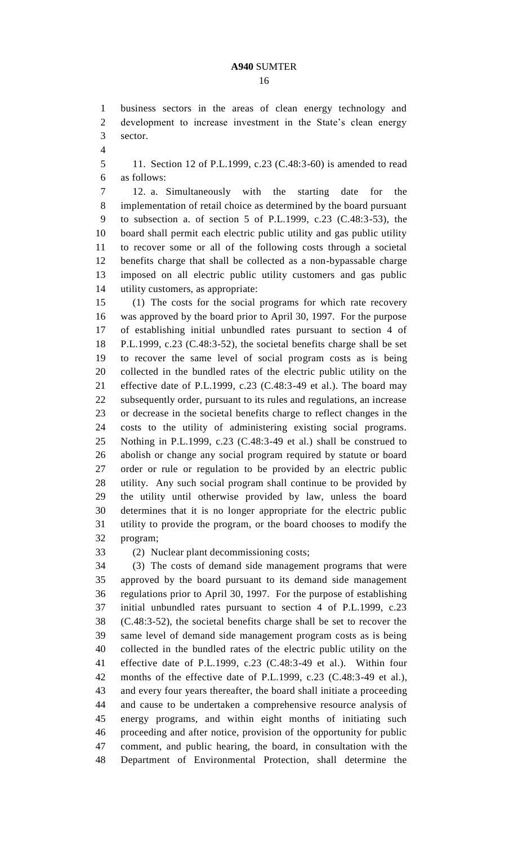business sectors in the areas of clean energy technology and development to increase investment in the State's clean energy sector.

 11. Section 12 of P.L.1999, c.23 (C.48:3-60) is amended to read as follows:

 12. a. Simultaneously with the starting date for the implementation of retail choice as determined by the board pursuant to subsection a. of section 5 of P.L.1999, c.23 (C.48:3-53), the board shall permit each electric public utility and gas public utility to recover some or all of the following costs through a societal benefits charge that shall be collected as a non-bypassable charge imposed on all electric public utility customers and gas public utility customers, as appropriate:

 (1) The costs for the social programs for which rate recovery was approved by the board prior to April 30, 1997. For the purpose of establishing initial unbundled rates pursuant to section 4 of P.L.1999, c.23 (C.48:3-52), the societal benefits charge shall be set to recover the same level of social program costs as is being collected in the bundled rates of the electric public utility on the effective date of P.L.1999, c.23 (C.48:3-49 et al.). The board may subsequently order, pursuant to its rules and regulations, an increase or decrease in the societal benefits charge to reflect changes in the costs to the utility of administering existing social programs. Nothing in P.L.1999, c.23 (C.48:3-49 et al.) shall be construed to abolish or change any social program required by statute or board order or rule or regulation to be provided by an electric public utility. Any such social program shall continue to be provided by the utility until otherwise provided by law, unless the board determines that it is no longer appropriate for the electric public utility to provide the program, or the board chooses to modify the program;

(2) Nuclear plant decommissioning costs;

 (3) The costs of demand side management programs that were approved by the board pursuant to its demand side management regulations prior to April 30, 1997. For the purpose of establishing initial unbundled rates pursuant to section 4 of P.L.1999, c.23 (C.48:3-52), the societal benefits charge shall be set to recover the same level of demand side management program costs as is being collected in the bundled rates of the electric public utility on the effective date of P.L.1999, c.23 (C.48:3-49 et al.). Within four months of the effective date of P.L.1999, c.23 (C.48:3-49 et al.), and every four years thereafter, the board shall initiate a proceeding and cause to be undertaken a comprehensive resource analysis of energy programs, and within eight months of initiating such proceeding and after notice, provision of the opportunity for public comment, and public hearing, the board, in consultation with the Department of Environmental Protection, shall determine the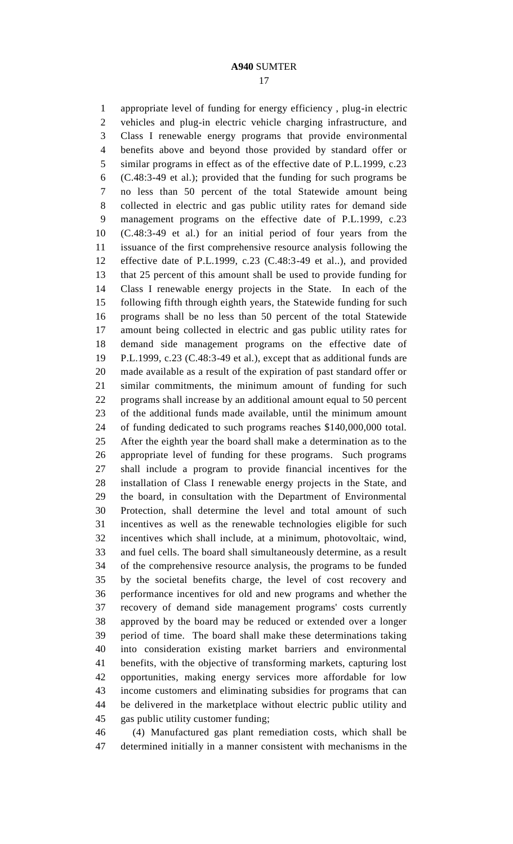appropriate level of funding for energy efficiency , plug-in electric vehicles and plug-in electric vehicle charging infrastructure, and Class I renewable energy programs that provide environmental benefits above and beyond those provided by standard offer or similar programs in effect as of the effective date of P.L.1999, c.23 (C.48:3-49 et al.); provided that the funding for such programs be no less than 50 percent of the total Statewide amount being collected in electric and gas public utility rates for demand side management programs on the effective date of P.L.1999, c.23 (C.48:3-49 et al.) for an initial period of four years from the issuance of the first comprehensive resource analysis following the effective date of P.L.1999, c.23 (C.48:3-49 et al..), and provided that 25 percent of this amount shall be used to provide funding for Class I renewable energy projects in the State. In each of the following fifth through eighth years, the Statewide funding for such programs shall be no less than 50 percent of the total Statewide amount being collected in electric and gas public utility rates for demand side management programs on the effective date of P.L.1999, c.23 (C.48:3-49 et al.), except that as additional funds are made available as a result of the expiration of past standard offer or similar commitments, the minimum amount of funding for such programs shall increase by an additional amount equal to 50 percent of the additional funds made available, until the minimum amount of funding dedicated to such programs reaches \$140,000,000 total. After the eighth year the board shall make a determination as to the appropriate level of funding for these programs. Such programs shall include a program to provide financial incentives for the installation of Class I renewable energy projects in the State, and the board, in consultation with the Department of Environmental Protection, shall determine the level and total amount of such incentives as well as the renewable technologies eligible for such incentives which shall include, at a minimum, photovoltaic, wind, and fuel cells. The board shall simultaneously determine, as a result of the comprehensive resource analysis, the programs to be funded by the societal benefits charge, the level of cost recovery and performance incentives for old and new programs and whether the recovery of demand side management programs' costs currently approved by the board may be reduced or extended over a longer period of time. The board shall make these determinations taking into consideration existing market barriers and environmental benefits, with the objective of transforming markets, capturing lost opportunities, making energy services more affordable for low income customers and eliminating subsidies for programs that can be delivered in the marketplace without electric public utility and gas public utility customer funding;

 (4) Manufactured gas plant remediation costs, which shall be determined initially in a manner consistent with mechanisms in the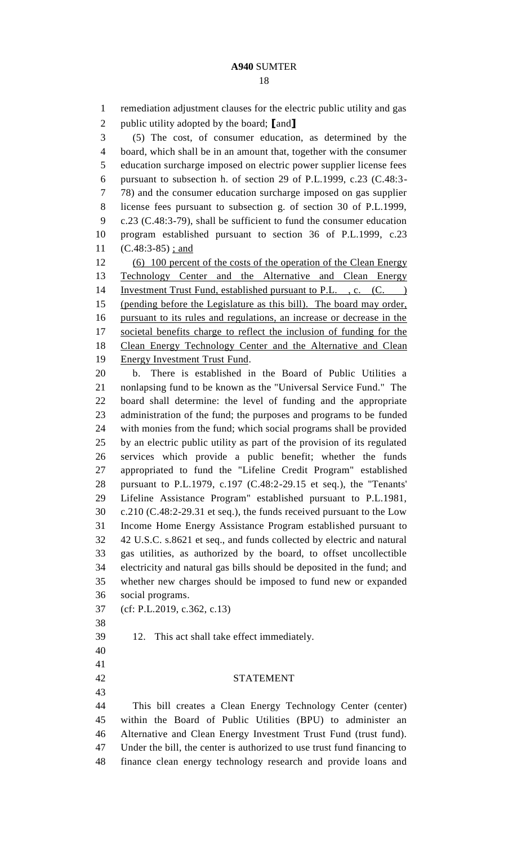remediation adjustment clauses for the electric public utility and gas public utility adopted by the board; **[**and**]** (5) The cost, of consumer education, as determined by the board, which shall be in an amount that, together with the consumer education surcharge imposed on electric power supplier license fees pursuant to subsection h. of section 29 of P.L.1999, c.23 (C.48:3- 78) and the consumer education surcharge imposed on gas supplier license fees pursuant to subsection g. of section 30 of P.L.1999, c.23 (C.48:3-79), shall be sufficient to fund the consumer education program established pursuant to section 36 of P.L.1999, c.23 11 (C.48:3-85) ; and 12 (6) 100 percent of the costs of the operation of the Clean Energy Technology Center and the Alternative and Clean Energy 14 Investment Trust Fund, established pursuant to P.L., c. (C.) (pending before the Legislature as this bill). The board may order, pursuant to its rules and regulations, an increase or decrease in the societal benefits charge to reflect the inclusion of funding for the Clean Energy Technology Center and the Alternative and Clean Energy Investment Trust Fund. b. There is established in the Board of Public Utilities a nonlapsing fund to be known as the "Universal Service Fund." The board shall determine: the level of funding and the appropriate administration of the fund; the purposes and programs to be funded with monies from the fund; which social programs shall be provided by an electric public utility as part of the provision of its regulated services which provide a public benefit; whether the funds appropriated to fund the "Lifeline Credit Program" established pursuant to P.L.1979, c.197 (C.48:2-29.15 et seq.), the "Tenants' Lifeline Assistance Program" established pursuant to P.L.1981, c.210 (C.48:2-29.31 et seq.), the funds received pursuant to the Low Income Home Energy Assistance Program established pursuant to 42 U.S.C. s.8621 et seq., and funds collected by electric and natural gas utilities, as authorized by the board, to offset uncollectible electricity and natural gas bills should be deposited in the fund; and whether new charges should be imposed to fund new or expanded social programs. (cf: P.L.2019, c.362, c.13) 12. This act shall take effect immediately. STATEMENT This bill creates a Clean Energy Technology Center (center) within the Board of Public Utilities (BPU) to administer an Alternative and Clean Energy Investment Trust Fund (trust fund). Under the bill, the center is authorized to use trust fund financing to finance clean energy technology research and provide loans and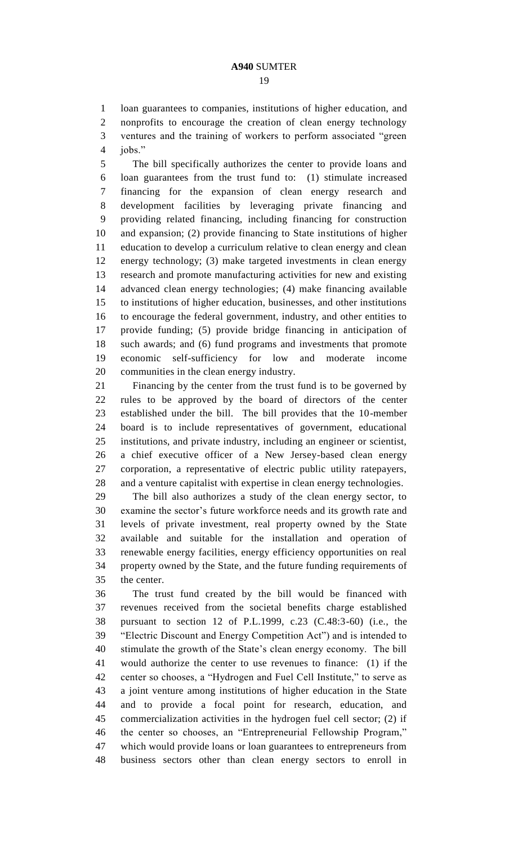loan guarantees to companies, institutions of higher education, and

 nonprofits to encourage the creation of clean energy technology ventures and the training of workers to perform associated "green jobs."

 The bill specifically authorizes the center to provide loans and loan guarantees from the trust fund to: (1) stimulate increased financing for the expansion of clean energy research and development facilities by leveraging private financing and providing related financing, including financing for construction and expansion; (2) provide financing to State institutions of higher education to develop a curriculum relative to clean energy and clean energy technology; (3) make targeted investments in clean energy research and promote manufacturing activities for new and existing advanced clean energy technologies; (4) make financing available to institutions of higher education, businesses, and other institutions to encourage the federal government, industry, and other entities to provide funding; (5) provide bridge financing in anticipation of such awards; and (6) fund programs and investments that promote economic self-sufficiency for low and moderate income communities in the clean energy industry.

 Financing by the center from the trust fund is to be governed by rules to be approved by the board of directors of the center established under the bill. The bill provides that the 10-member board is to include representatives of government, educational institutions, and private industry, including an engineer or scientist, a chief executive officer of a New Jersey-based clean energy corporation, a representative of electric public utility ratepayers, and a venture capitalist with expertise in clean energy technologies.

 The bill also authorizes a study of the clean energy sector, to examine the sector's future workforce needs and its growth rate and levels of private investment, real property owned by the State available and suitable for the installation and operation of renewable energy facilities, energy efficiency opportunities on real property owned by the State, and the future funding requirements of the center.

 The trust fund created by the bill would be financed with revenues received from the societal benefits charge established pursuant to section 12 of P.L.1999, c.23 (C.48:3-60) (i.e., the "Electric Discount and Energy Competition Act") and is intended to stimulate the growth of the State's clean energy economy. The bill would authorize the center to use revenues to finance: (1) if the center so chooses, a "Hydrogen and Fuel Cell Institute," to serve as a joint venture among institutions of higher education in the State and to provide a focal point for research, education, and commercialization activities in the hydrogen fuel cell sector; (2) if the center so chooses, an "Entrepreneurial Fellowship Program," which would provide loans or loan guarantees to entrepreneurs from business sectors other than clean energy sectors to enroll in